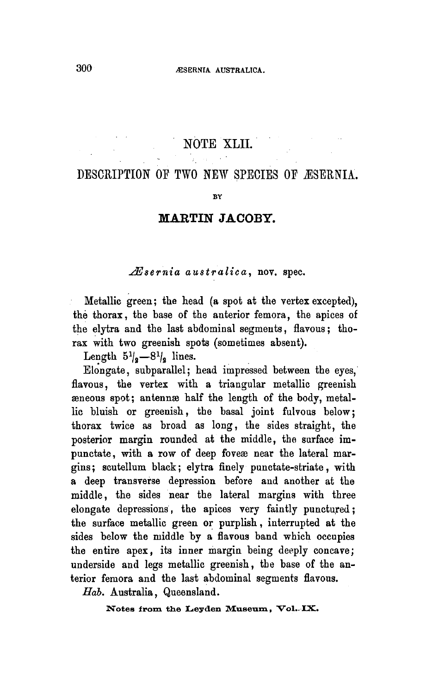## NOTE XLII.

## Description of two new species of Æsernia

BY

## Martin Jacoby

Æsernia australica, nov. spec.

Metallic green; the head (a spot at the vertex excepted), the thorax, the base of the anterior femora, the apices of the elytra and the last abdominal segments, flavous; thorax with two greenish spots (sometimes absent).

Length  $5^{1/2} - 8^{1/2}$  lines.

Elongate, subparallel; head impressed between the eyes, flavous, the vertex with a triangular metallic greenish æneous spot; antennæ half the length of the body, metallic bluish or greenish, the basal joint fulvous below; thorax twice as broad as long, the sides straight, the posterior margin rounded at the middle, the surface impunctate, with a row of deep foveæ near the lateral margins ; scutellum black; elytra finely punctate-striate, with <sup>a</sup> deep transverse depression before and another at the middle, the sides near the lateral margins with three elongate depressions, the apices very faintly punctured; the surface metallic green or purplish, interrupted at the sides below the middle by <sup>a</sup> flavous band which occupies the entire apex, its inner margin being deeply concave; underside and legs metallic greenish, the base of the anterior femora and the last abdominal segments flavous.

Hab. Australia, Queensland.

Notes from the Leyden Museum, Vol..IX.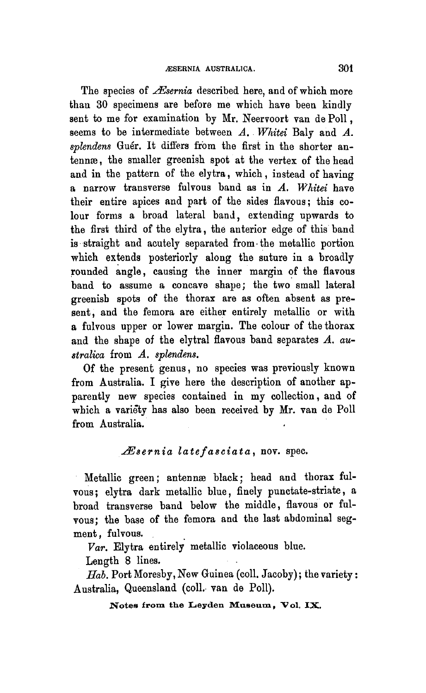The species of  $\mathcal{A}$  escribed here, and of which more than 30 specimens are before me which have been kindly sent to me for examination by Mr. Neervoort van de Poll, seems to be intermediate between A. Whitei Baly and A. splendens Guér. It differs from the first in the shorter antennae, the smaller greenish spot at the vertex of the head and in the pattern of the elytra, which, instead of having <sup>a</sup> narrow transverse fulvous band as in A. Whitei have their entire apices and part of the sides flavous; this colour forms <sup>a</sup> broad lateral band, extending upwards to the first third of the elytra, the anterior edge of this band is straight and acutely separated from the metallic portion which extends posteriorly along the suture in a broadly rounded angle, causing the inner margin of the flavous band to assume a concave shape; the two small lateral greenish spots of the thorax are as often absent as present, and the femora are either entirely metallic or with <sup>a</sup> fulvous upper or lower margin. The colour of the thorax and the shape of the elytral flavous band separates A. australica from A. splendens.

Of the present genus, no species was previously known from Australia. I give here the description of another apparently new species contained in my collection, and of which <sup>a</sup> variety has also been received by Mr. van de Poll from Australia.

## Æsernia latefasciata, nov. spec.

Metallic green; antennae black; head and thorax fulvous; elytra dark metallic blue, finely punctate-striate, a broad transverse band below the middle, flavous or fulvous; the base of the femora and the last abdominal segment, fulvous.

Var. Elytra entirely metallic violaceous blue.

Length <sup>8</sup> lines.

 $H_{ab}$ . Port Moresby, New Guinea (coll. Jacoby); the variety: Australia, Queensland (coll. van de Poll).

Notes from the Leyden Museum, Vol. IX.